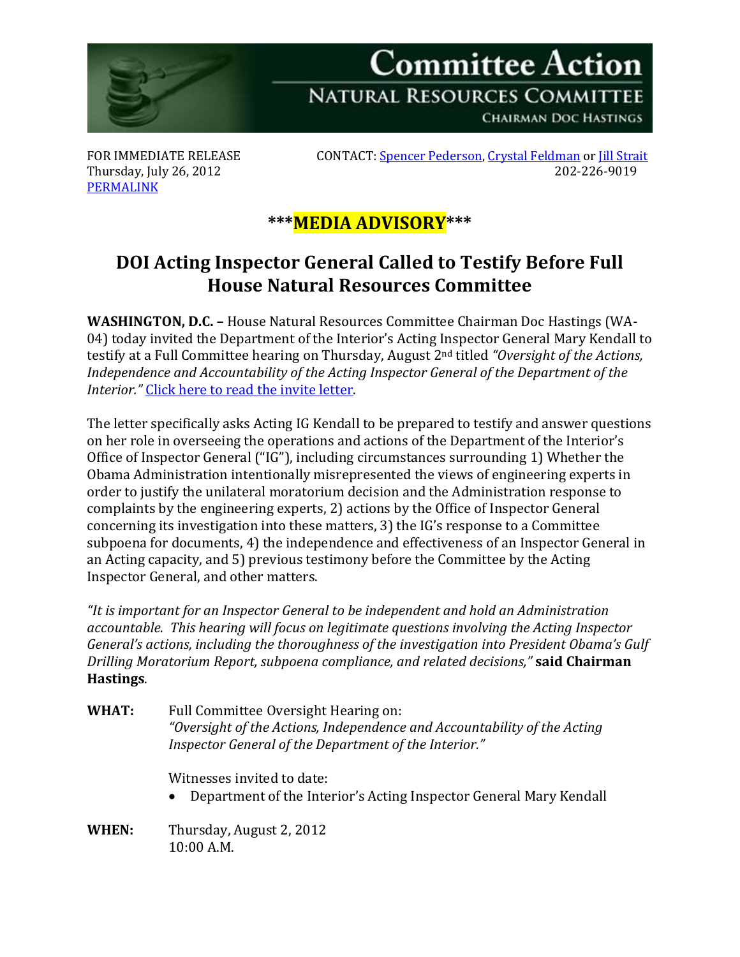

[PERMALINK](http://naturalresources.house.gov/News/DocumentSingle.aspx?DocumentID=304735)

FOR IMMEDIATE RELEASE CONTACT[: Spencer Pederson,](mailto:spencer.pederson@mail.house.gov) [Crystal Feldman](mailto:crystal.feldman@mail.house.gov) o[r Jill Strait](mailto:jill.strait@mail.house.gov) Thursday, July 26, 2012 202-226-9019

## **\*\*\*MEDIA ADVISORY\*\*\***

## **DOI Acting Inspector General Called to Testify Before Full House Natural Resources Committee**

**WASHINGTON, D.C. –** House Natural Resources Committee Chairman Doc Hastings (WA-04) today invited the Department of the Interior's Acting Inspector General Mary Kendall to testify at a Full Committee hearing on Thursday, August 2nd titled *"Oversight of the Actions, Independence and Accountability of the Acting Inspector General of the Department of the Interior."* [Click here to read the invite letter.](http://naturalresources.house.gov/UploadedFiles/InvitationLtrToActingIGKendall07-26-12.pdf)

The letter specifically asks Acting IG Kendall to be prepared to testify and answer questions on her role in overseeing the operations and actions of the Department of the Interior's Office of Inspector General ("IG"), including circumstances surrounding 1) Whether the Obama Administration intentionally misrepresented the views of engineering experts in order to justify the unilateral moratorium decision and the Administration response to complaints by the engineering experts, 2) actions by the Office of Inspector General concerning its investigation into these matters, 3) the IG's response to a Committee subpoena for documents, 4) the independence and effectiveness of an Inspector General in an Acting capacity, and 5) previous testimony before the Committee by the Acting Inspector General, and other matters.

*"It is important for an Inspector General to be independent and hold an Administration accountable. This hearing will focus on legitimate questions involving the Acting Inspector General's actions, including the thoroughness of the investigation into President Obama's Gulf Drilling Moratorium Report, subpoena compliance, and related decisions,"* **said Chairman Hastings**.

**WHAT:** Full Committee Oversight Hearing on: *"Oversight of the Actions, Independence and Accountability of the Acting Inspector General of the Department of the Interior."*

Witnesses invited to date:

- Department of the Interior's Acting Inspector General Mary Kendall
- **WHEN:** Thursday, August 2, 2012 10:00 A.M.